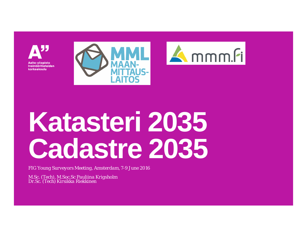





# **Katasteri 2035 Cadastre 2035**

*FIG Young Surveyors Meeting, Amsterdam, 7-9 June 2016*

*M.Sc. (Tech), M.Soc.Sc Pauliina Krigsholm Dr.Sc. (Tech) Kirsikka Riekkinen*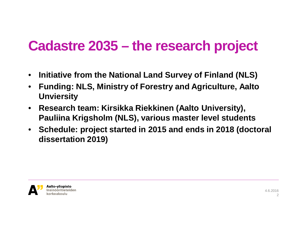### **Cadastre 2035 – the research project**

- **Initiative from the National Land Survey of Finland (NLS)**
- **Funding: NLS, Ministry of Forestry and Agriculture, Aalto Unviersity**
- **Research team: Kirsikka Riekkinen (Aalto University), Pauliina Krigsholm (NLS), various master level students**
- **Schedule: project started in 2015 and ends in 2018 (doctoral dissertation 2019)**

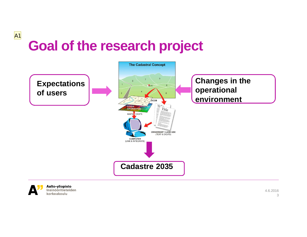# **Goal of the research project**





A1

Aalto-yliopisto Insinööritieteiden korkeakoulu

4.6.2016 3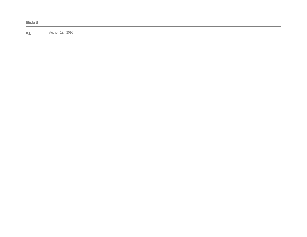**A1** Author; 19.4.2016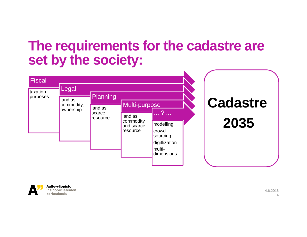#### **The requirements for the cadastre are set by the society:**





Insinööritieteiden

4.6.2016 4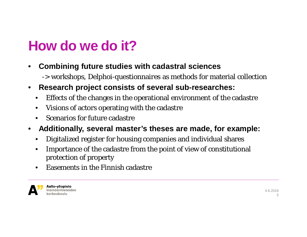## **How do we do it?**

- **Combining future studies with cadastral sciences**
	- -> workshops, Delphoi-questionnaires as methods for material collection
- **Research project consists of several sub-researches:**
	- Effects of the changes in the operational environment of the cadastre
	- Visions of actors operating with the cadastre
	- Scenarios for future cadastre
- **Additionally, several master's theses are made, for example:**
	- Digitalized register for housing companies and individual shares
	- Importance of the cadastre from the point of view of constitutional protection of property
	- Easements in the Finnish cadastre



Aalto-yliopisto Insinööritieteiden korkeakoulu